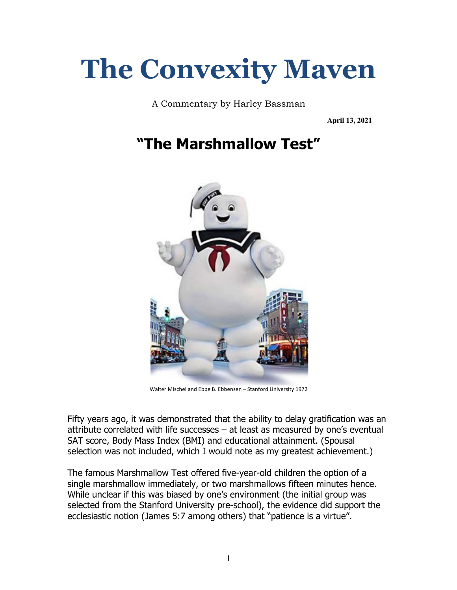# **The Convexity Maven**

A Commentary by Harley Bassman

**April 13, 2021**

# **"The Marshmallow Test"**



Walter Mischel and Ebbe B. Ebbensen – Stanford University 1972

Fifty years ago, it was demonstrated that the ability to delay gratification was an attribute correlated with life successes – at least as measured by one's eventual SAT score, Body Mass Index (BMI) and educational attainment. (Spousal selection was not included, which I would note as my greatest achievement.)

The famous Marshmallow Test offered five-year-old children the option of a single marshmallow immediately, or two marshmallows fifteen minutes hence. While unclear if this was biased by one's environment (the initial group was selected from the Stanford University pre-school), the evidence did support the ecclesiastic notion (James 5:7 among others) that "patience is a virtue".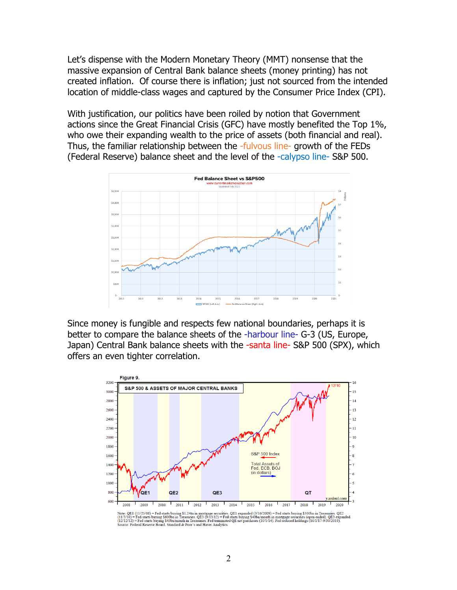Let's dispense with the Modern Monetary Theory (MMT) nonsense that the massive expansion of Central Bank balance sheets (money printing) has not created inflation. Of course there is inflation; just not sourced from the intended location of middle-class wages and captured by the Consumer Price Index (CPI).

With justification, our politics have been roiled by notion that Government actions since the Great Financial Crisis (GFC) have mostly benefited the Top 1%, who owe their expanding wealth to the price of assets (both financial and real). Thus, the familiar relationship between the -fulvous line- growth of the FEDs (Federal Reserve) balance sheet and the level of the -calypso line- S&P 500.



Since money is fungible and respects few national boundaries, perhaps it is better to compare the balance sheets of the -harbour line- G-3 (US, Europe, Japan) Central Bank balance sheets with the -santa line- S&P 500 (SPX), which offers an even tighter correlation.



Note: QE1 (11/25/08) = Fed starts buying \$1.24tn in mortgage securities. QE1 expanded (3/16/2009) = Fed starts buying \$300bn in Treasuries. QE2<br>(12/12/12) = Fed starts buying \$600bn in Treasuries. QE3 (9/13/12) = Fed start .<br>inded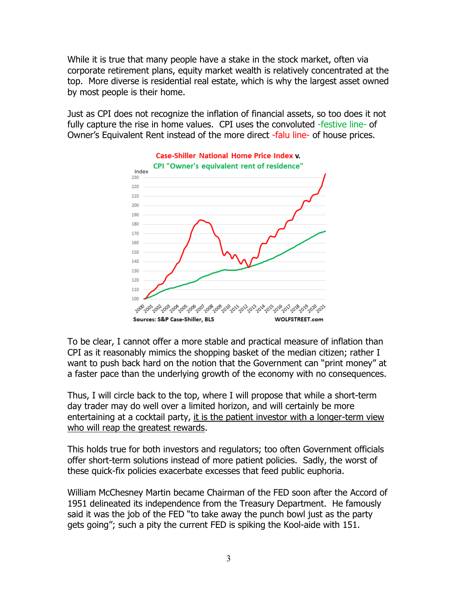While it is true that many people have a stake in the stock market, often via corporate retirement plans, equity market wealth is relatively concentrated at the top. More diverse is residential real estate, which is why the largest asset owned by most people is their home.

Just as CPI does not recognize the inflation of financial assets, so too does it not fully capture the rise in home values. CPI uses the convoluted -festive line- of Owner's Equivalent Rent instead of the more direct -falu line- of house prices.



To be clear, I cannot offer a more stable and practical measure of inflation than CPI as it reasonably mimics the shopping basket of the median citizen; rather I want to push back hard on the notion that the Government can "print money" at a faster pace than the underlying growth of the economy with no consequences.

Thus, I will circle back to the top, where I will propose that while a short-term day trader may do well over a limited horizon, and will certainly be more entertaining at a cocktail party, it is the patient investor with a longer-term view who will reap the greatest rewards.

This holds true for both investors and regulators; too often Government officials offer short-term solutions instead of more patient policies. Sadly, the worst of these quick-fix policies exacerbate excesses that feed public euphoria.

William McChesney Martin became Chairman of the FED soon after the Accord of 1951 delineated its independence from the Treasury Department. He famously said it was the job of the FED "to take away the punch bowl just as the party gets going"; such a pity the current FED is spiking the Kool-aide with 151.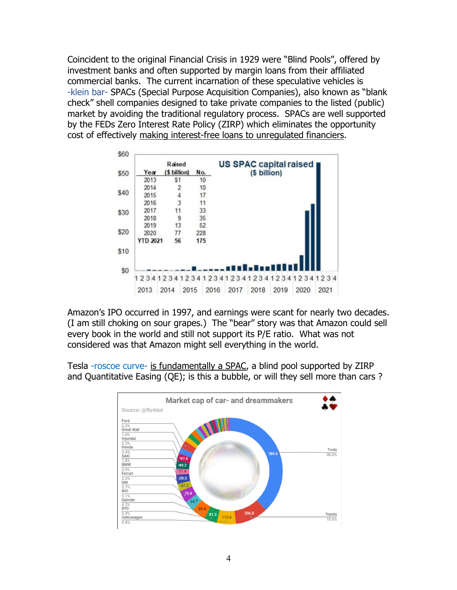Coincident to the original Financial Crisis in 1929 were "Blind Pools", offered by investment banks and often supported by margin loans from their affiliated commercial banks. The current incarnation of these speculative vehicles is -klein bar- SPACs (Special Purpose Acquisition Companies), also known as "blank check" shell companies designed to take private companies to the listed (public) market by avoiding the traditional regulatory process. SPACs are well supported by the FEDs Zero Interest Rate Policy (ZIRP) which eliminates the opportunity cost of effectively making interest-free loans to unregulated financiers.

|      |                 | Raised       |     | US SPAC capital raised |              |           |         |  |
|------|-----------------|--------------|-----|------------------------|--------------|-----------|---------|--|
| \$50 | Year            | (\$ billion) | No. |                        | (\$ billion) |           |         |  |
|      | 2013            | \$1          | 10  |                        |              |           |         |  |
| \$40 | 2014            | 2            | 10  |                        |              |           |         |  |
|      | 2015            | 4            | 17  |                        |              |           |         |  |
|      | 2016            | 3            | 11  |                        |              |           |         |  |
| \$30 | 2017            | 11           | 33  |                        |              |           |         |  |
|      | 2018            | 9            | 35  |                        |              |           |         |  |
|      | 2019            | 13           | 52  |                        |              |           |         |  |
| \$20 | 2020            | 77           | 228 |                        |              |           |         |  |
|      | <b>YTD 2021</b> | 56           | 175 |                        |              |           |         |  |
| \$10 |                 |              |     |                        |              |           |         |  |
|      |                 |              |     |                        |              |           |         |  |
|      |                 |              |     |                        |              |           |         |  |
|      |                 |              |     |                        |              |           |         |  |
| \$0  |                 |              |     | 2341<br>234            | 234          | 2341<br>1 | 2341234 |  |
|      | 234             | 234          | 234 |                        |              |           |         |  |

Amazon's IPO occurred in 1997, and earnings were scant for nearly two decades. (I am still choking on sour grapes.) The "bear" story was that Amazon could sell every book in the world and still not support its P/E ratio. What was not considered was that Amazon might sell everything in the world.

Tesla -roscoe curve- is fundamentally a SPAC, a blind pool supported by ZIRP and Quantitative Easing (QE); is this a bubble, or will they sell more than cars ?

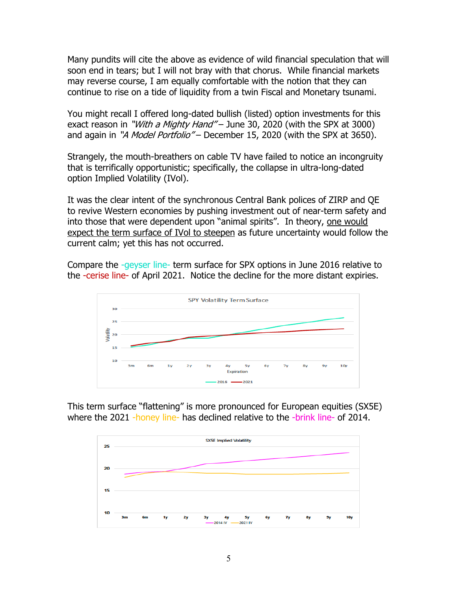Many pundits will cite the above as evidence of wild financial speculation that will soon end in tears; but I will not bray with that chorus. While financial markets may reverse course, I am equally comfortable with the notion that they can continue to rise on a tide of liquidity from a twin Fiscal and Monetary tsunami.

You might recall I offered long-dated bullish (listed) option investments for this exact reason in "*With a Mighty Hand"* – June 30, 2020 (with the SPX at 3000) and again in "A Model Portfolio" – December 15, 2020 (with the SPX at 3650).

Strangely, the mouth-breathers on cable TV have failed to notice an incongruity that is terrifically opportunistic; specifically, the collapse in ultra-long-dated option Implied Volatility (IVol).

It was the clear intent of the synchronous Central Bank polices of ZIRP and QE to revive Western economies by pushing investment out of near-term safety and into those that were dependent upon "animal spirits". In theory, one would expect the term surface of IVol to steepen as future uncertainty would follow the current calm; yet this has not occurred.

Compare the -geyser line- term surface for SPX options in June 2016 relative to the -cerise line- of April 2021. Notice the decline for the more distant expiries.



This term surface "flattening" is more pronounced for European equities (SX5E) where the 2021 -honey line- has declined relative to the -brink line- of 2014.

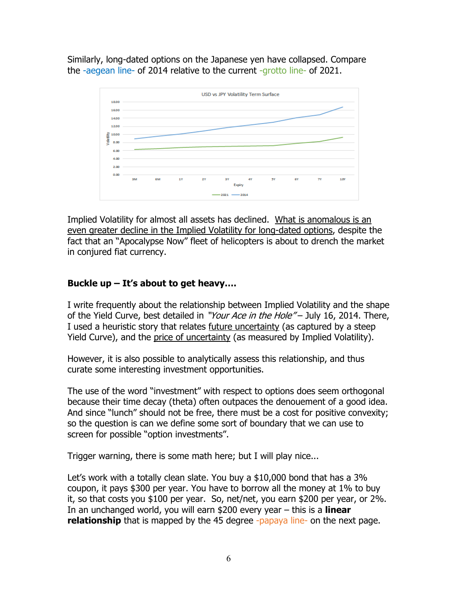Similarly, long-dated options on the Japanese yen have collapsed. Compare the -aegean line- of 2014 relative to the current -grotto line- of 2021.



Implied Volatility for almost all assets has declined. What is anomalous is an even greater decline in the Implied Volatility for long-dated options, despite the fact that an "Apocalypse Now" fleet of helicopters is about to drench the market in conjured fiat currency.

## **Buckle up – It's about to get heavy….**

I write frequently about the relationship between Implied Volatility and the shape of the Yield Curve, best detailed in "Your Ace in the Hole" – July 16, 2014. There, I used a heuristic story that relates future uncertainty (as captured by a steep Yield Curve), and the price of uncertainty (as measured by Implied Volatility).

However, it is also possible to analytically assess this relationship, and thus curate some interesting investment opportunities.

The use of the word "investment" with respect to options does seem orthogonal because their time decay (theta) often outpaces the denouement of a good idea. And since "lunch" should not be free, there must be a cost for positive convexity; so the question is can we define some sort of boundary that we can use to screen for possible "option investments".

Trigger warning, there is some math here; but I will play nice...

Let's work with a totally clean slate. You buy a \$10,000 bond that has a 3% coupon, it pays \$300 per year. You have to borrow all the money at 1% to buy it, so that costs you \$100 per year. So, net/net, you earn \$200 per year, or 2%. In an unchanged world, you will earn \$200 every year – this is a **linear relationship** that is mapped by the 45 degree -papaya line- on the next page.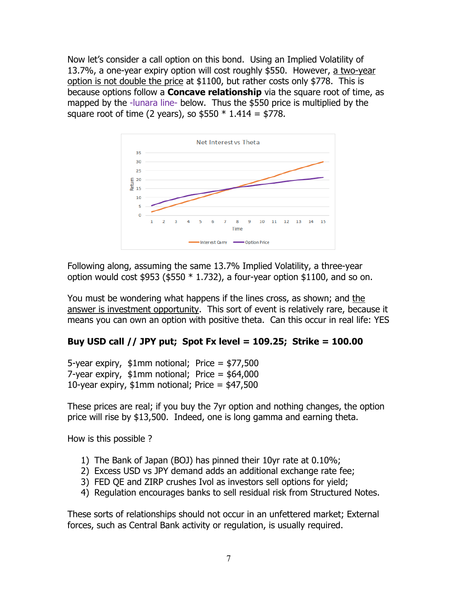Now let's consider a call option on this bond. Using an Implied Volatility of 13.7%, a one-year expiry option will cost roughly \$550. However, a two-year option is not double the price at \$1100, but rather costs only \$778. This is because options follow a **Concave relationship** via the square root of time, as mapped by the -lunara line- below. Thus the \$550 price is multiplied by the square root of time (2 years), so  $$550 * 1.414 = $778$ .



Following along, assuming the same 13.7% Implied Volatility, a three-year option would cost  $$953$  ( $$550 * 1.732$ ), a four-year option  $$1100$ , and so on.

You must be wondering what happens if the lines cross, as shown; and the answer is investment opportunity. This sort of event is relatively rare, because it means you can own an option with positive theta. Can this occur in real life: YES

### **Buy USD call // JPY put; Spot Fx level = 109.25; Strike = 100.00**

5-year expiry, \$1mm notional; Price = \$77,500 7-year expiry, \$1mm notional; Price = \$64,000 10-year expiry,  $$1mm$  notional; Price =  $$47,500$ 

These prices are real; if you buy the 7yr option and nothing changes, the option price will rise by \$13,500. Indeed, one is long gamma and earning theta.

How is this possible ?

- 1) The Bank of Japan (BOJ) has pinned their 10yr rate at 0.10%;
- 2) Excess USD vs JPY demand adds an additional exchange rate fee;
- 3) FED QE and ZIRP crushes Ivol as investors sell options for yield;
- 4) Regulation encourages banks to sell residual risk from Structured Notes.

These sorts of relationships should not occur in an unfettered market; External forces, such as Central Bank activity or regulation, is usually required.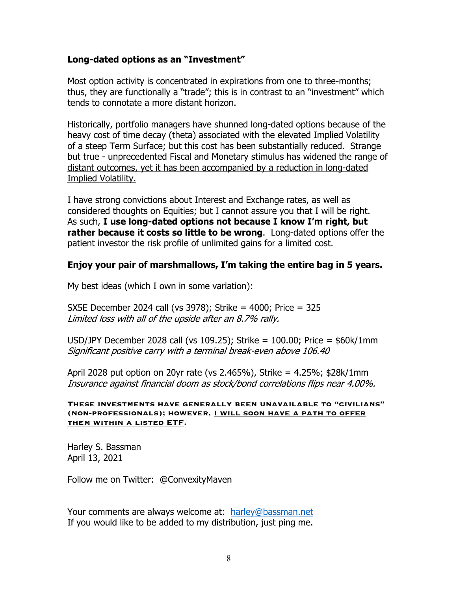### **Long-dated options as an "Investment"**

Most option activity is concentrated in expirations from one to three-months; thus, they are functionally a "trade"; this is in contrast to an "investment" which tends to connotate a more distant horizon.

Historically, portfolio managers have shunned long-dated options because of the heavy cost of time decay (theta) associated with the elevated Implied Volatility of a steep Term Surface; but this cost has been substantially reduced. Strange but true - unprecedented Fiscal and Monetary stimulus has widened the range of distant outcomes, yet it has been accompanied by a reduction in long-dated Implied Volatility.

I have strong convictions about Interest and Exchange rates, as well as considered thoughts on Equities; but I cannot assure you that I will be right. As such, **I use long-dated options not because I know I'm right, but rather because it costs so little to be wrong**. Long-dated options offer the patient investor the risk profile of unlimited gains for a limited cost.

#### **Enjoy your pair of marshmallows, I'm taking the entire bag in 5 years.**

My best ideas (which I own in some variation):

SX5E December 2024 call (vs 3978); Strike = 4000; Price = 325 Limited loss with all of the upside after an 8.7% rally.

USD/JPY December 2028 call (vs 109.25); Strike = 100.00; Price = \$60k/1mm Significant positive carry with a terminal break-even above 106.40

April 2028 put option on 20yr rate (vs 2.465%), Strike = 4.25%; \$28k/1mm Insurance against financial doom as stock/bond correlations flips near 4.00%.

**These investments have generally been unavailable to "civilians" (non-professionals); however, I will soon have a path to offer them within a listed ETF.**

Harley S. Bassman April 13, 2021

Follow me on Twitter: @ConvexityMaven

Your comments are always welcome at: harley@bassman.net If you would like to be added to my distribution, just ping me.